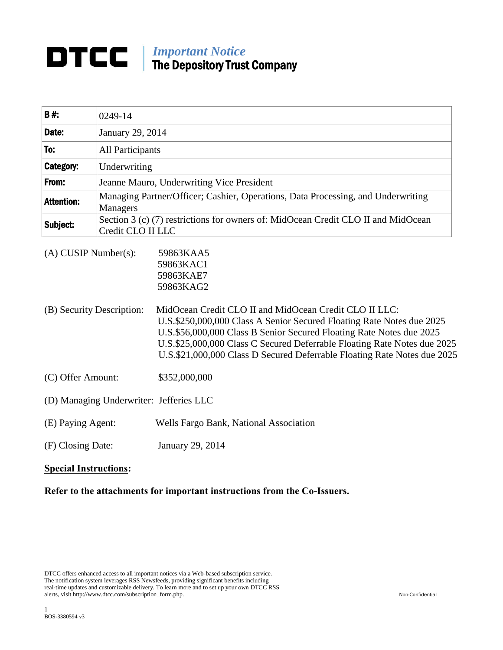## *Important Notice* The Depository Trust Company

| <b>B#</b>                                               | 0249-14                                                                                                |                                                                                                                                                                                                                                                                                                                                                                                                                     |
|---------------------------------------------------------|--------------------------------------------------------------------------------------------------------|---------------------------------------------------------------------------------------------------------------------------------------------------------------------------------------------------------------------------------------------------------------------------------------------------------------------------------------------------------------------------------------------------------------------|
| Date:                                                   | January 29, 2014                                                                                       |                                                                                                                                                                                                                                                                                                                                                                                                                     |
| To:                                                     | All Participants                                                                                       |                                                                                                                                                                                                                                                                                                                                                                                                                     |
| Category:                                               | Underwriting                                                                                           |                                                                                                                                                                                                                                                                                                                                                                                                                     |
| From:                                                   | Jeanne Mauro, Underwriting Vice President                                                              |                                                                                                                                                                                                                                                                                                                                                                                                                     |
| <b>Attention:</b>                                       | Managing Partner/Officer; Cashier, Operations, Data Processing, and Underwriting<br>Managers           |                                                                                                                                                                                                                                                                                                                                                                                                                     |
| Subject:                                                | Section 3 (c) (7) restrictions for owners of: MidOcean Credit CLO II and MidOcean<br>Credit CLO II LLC |                                                                                                                                                                                                                                                                                                                                                                                                                     |
| $(A)$ CUSIP Number $(s)$ :<br>(B) Security Description: |                                                                                                        | 59863KAA5<br>59863KAC1<br>59863KAE7<br>59863KAG2<br>MidOcean Credit CLO II and MidOcean Credit CLO II LLC:<br>U.S.\$250,000,000 Class A Senior Secured Floating Rate Notes due 2025<br>U.S.\$56,000,000 Class B Senior Secured Floating Rate Notes due 2025<br>U.S.\$25,000,000 Class C Secured Deferrable Floating Rate Notes due 2025<br>U.S.\$21,000,000 Class D Secured Deferrable Floating Rate Notes due 2025 |
| (C) Offer Amount:                                       |                                                                                                        | \$352,000,000                                                                                                                                                                                                                                                                                                                                                                                                       |
| (D) Managing Underwriter: Jefferies LLC                 |                                                                                                        |                                                                                                                                                                                                                                                                                                                                                                                                                     |
| (E) Paying Agent:                                       |                                                                                                        | Wells Fargo Bank, National Association                                                                                                                                                                                                                                                                                                                                                                              |
| (F) Closing Date:                                       |                                                                                                        | January 29, 2014                                                                                                                                                                                                                                                                                                                                                                                                    |
|                                                         |                                                                                                        |                                                                                                                                                                                                                                                                                                                                                                                                                     |

## **Special Instructions:**

**Refer to the attachments for important instructions from the Co-Issuers.**

DTCC offers enhanced access to all important notices via a Web-based subscription service. The notification system leverages RSS Newsfeeds, providing significant benefits including real-time updates and customizable delivery. To learn more and to set up your own DTCC RSS alerts, visit http://www.dtcc.com/subscription\_form.php. Non-Confidential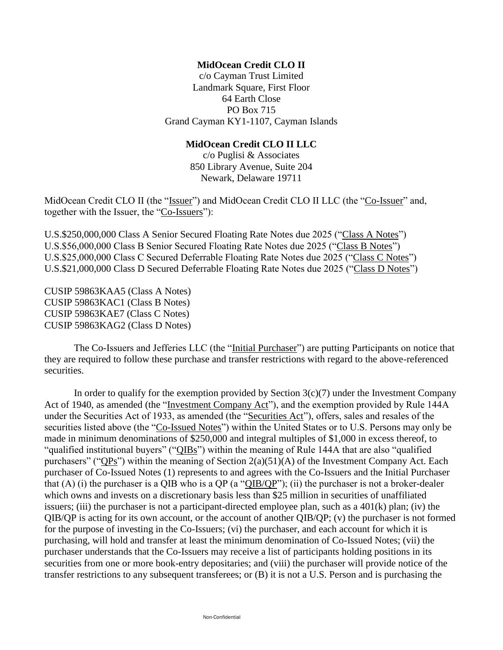## **MidOcean Credit CLO II**

c/o Cayman Trust Limited Landmark Square, First Floor 64 Earth Close PO Box 715 Grand Cayman KY1-1107, Cayman Islands

## **MidOcean Credit CLO II LLC**

c/o Puglisi & Associates 850 Library Avenue, Suite 204 Newark, Delaware 19711

MidOcean Credit CLO II (the "Issuer") and MidOcean Credit CLO II LLC (the "Co-Issuer" and, together with the Issuer, the "Co-Issuers"):

U.S.\$250,000,000 Class A Senior Secured Floating Rate Notes due 2025 ("Class A Notes") U.S.\$56,000,000 Class B Senior Secured Floating Rate Notes due 2025 ("Class B Notes") U.S.\$25,000,000 Class C Secured Deferrable Floating Rate Notes due 2025 ("Class C Notes") U.S.\$21,000,000 Class D Secured Deferrable Floating Rate Notes due 2025 ("Class D Notes")

CUSIP 59863KAA5 (Class A Notes) CUSIP 59863KAC1 (Class B Notes) CUSIP 59863KAE7 (Class C Notes) CUSIP 59863KAG2 (Class D Notes)

The Co-Issuers and Jefferies LLC (the "Initial Purchaser") are putting Participants on notice that they are required to follow these purchase and transfer restrictions with regard to the above-referenced securities.

In order to qualify for the exemption provided by Section  $3(c)(7)$  under the Investment Company Act of 1940, as amended (the "Investment Company Act"), and the exemption provided by Rule 144A under the Securities Act of 1933, as amended (the "Securities Act"), offers, sales and resales of the securities listed above (the "Co-Issued Notes") within the United States or to U.S. Persons may only be made in minimum denominations of \$250,000 and integral multiples of \$1,000 in excess thereof, to "qualified institutional buyers" ("QIBs") within the meaning of Rule 144A that are also "qualified purchasers" ("QPs") within the meaning of Section 2(a)(51)(A) of the Investment Company Act. Each purchaser of Co-Issued Notes (1) represents to and agrees with the Co-Issuers and the Initial Purchaser that (A) (i) the purchaser is a QIB who is a QP (a " $QIB/QP$ "); (ii) the purchaser is not a broker-dealer which owns and invests on a discretionary basis less than \$25 million in securities of unaffiliated issuers; (iii) the purchaser is not a participant-directed employee plan, such as a  $401(k)$  plan; (iv) the QIB/QP is acting for its own account, or the account of another QIB/QP; (v) the purchaser is not formed for the purpose of investing in the Co-Issuers; (vi) the purchaser, and each account for which it is purchasing, will hold and transfer at least the minimum denomination of Co-Issued Notes; (vii) the purchaser understands that the Co-Issuers may receive a list of participants holding positions in its securities from one or more book-entry depositaries; and (viii) the purchaser will provide notice of the transfer restrictions to any subsequent transferees; or (B) it is not a U.S. Person and is purchasing the